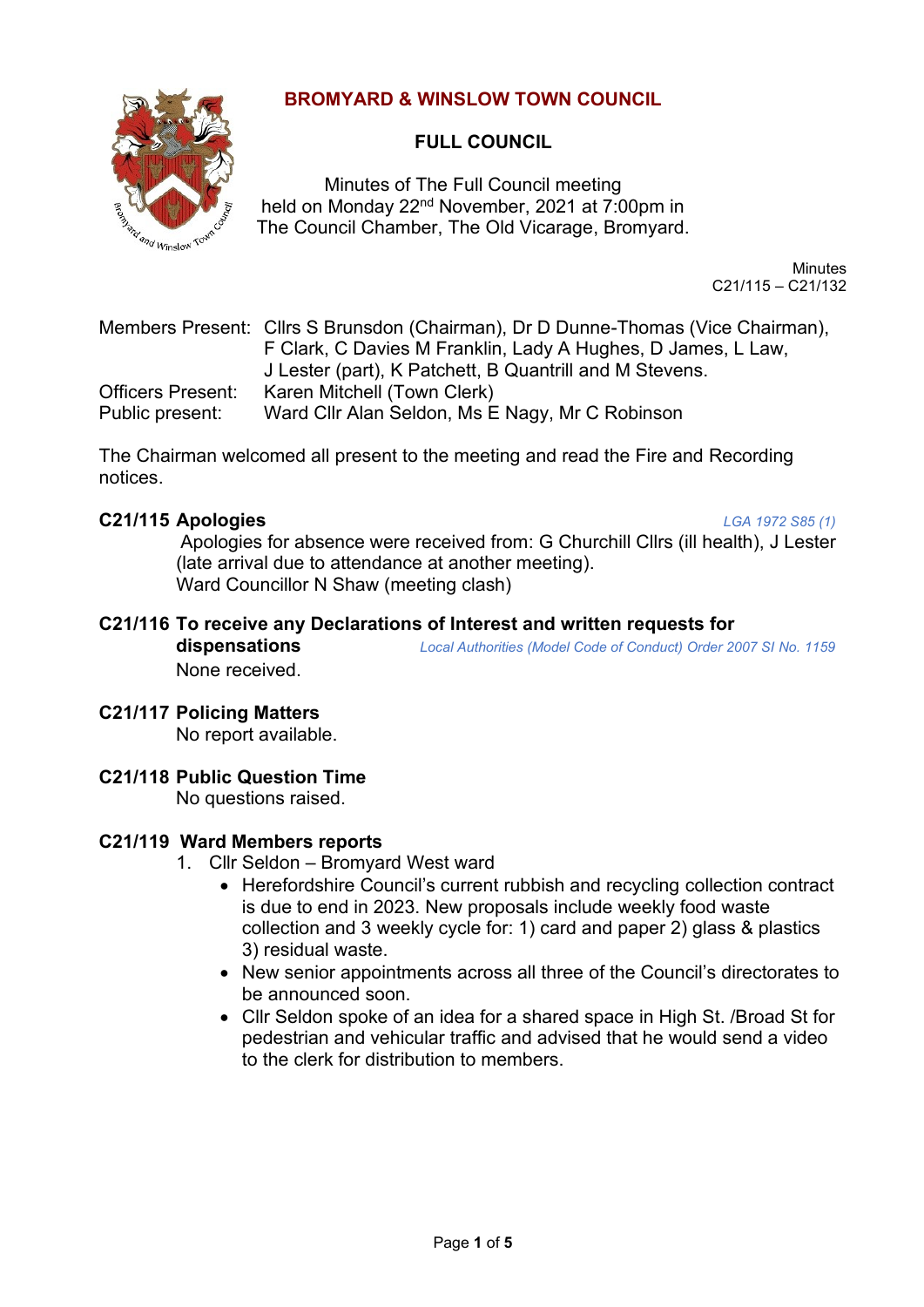## **BROMYARD & WINSLOW TOWN COUNCIL**



## **FULL COUNCIL**

Minutes of The Full Council meeting held on Monday 22<sup>nd</sup> November, 2021 at 7:00pm in The Council Chamber, The Old Vicarage, Bromyard.

> **Minutes** C21/115 – C21/132

Members Present: Cllrs S Brunsdon (Chairman), Dr D Dunne-Thomas (Vice Chairman), F Clark, C Davies M Franklin, Lady A Hughes, D James, L Law, J Lester (part), K Patchett, B Quantrill and M Stevens. Officers Present: Karen Mitchell (Town Clerk) Public present: Ward Cllr Alan Seldon, Ms E Nagy, Mr C Robinson

The Chairman welcomed all present to the meeting and read the Fire and Recording notices.

## **C21/115 Apologies** *LGA 1972 S85 (1)*

Apologies for absence were received from: G Churchill Cllrs (ill health), J Lester (late arrival due to attendance at another meeting). Ward Councillor N Shaw (meeting clash)

# **C21/116 To receive any Declarations of Interest and written requests for**

**dispensations** *Local Authorities (Model Code of Conduct) Order 2007 SI No. 1159* None received.

## **C21/117 Policing Matters**

No report available.

## **C21/118 Public Question Time**

No questions raised.

#### **C21/119 Ward Members reports**

- 1. Cllr Seldon Bromyard West ward
	- Herefordshire Council's current rubbish and recycling collection contract is due to end in 2023. New proposals include weekly food waste collection and 3 weekly cycle for: 1) card and paper 2) glass & plastics 3) residual waste.
	- New senior appointments across all three of the Council's directorates to be announced soon.
	- Cllr Seldon spoke of an idea for a shared space in High St. /Broad St for pedestrian and vehicular traffic and advised that he would send a video to the clerk for distribution to members.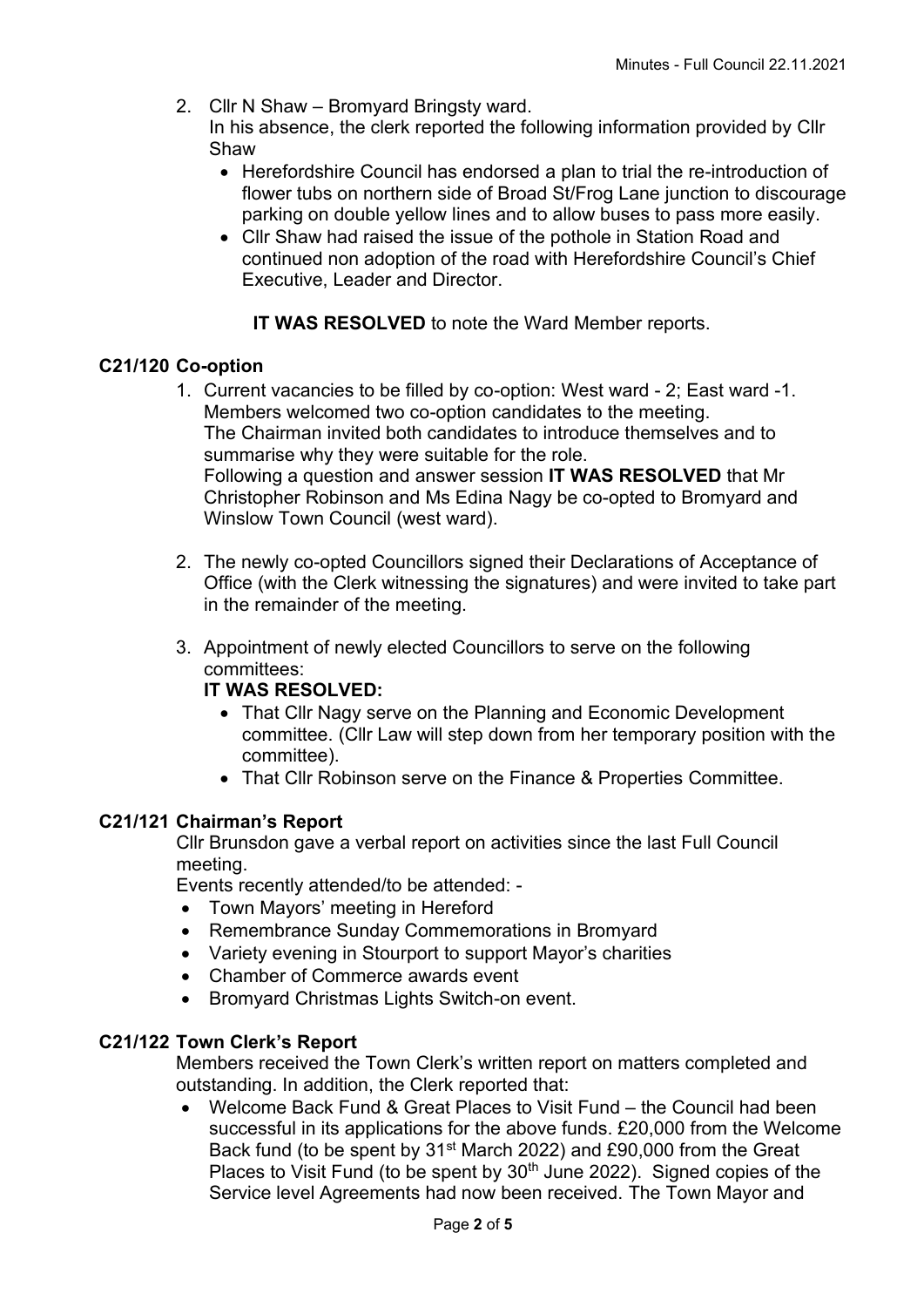- 2. Cllr N Shaw Bromyard Bringsty ward. In his absence, the clerk reported the following information provided by Cllr Shaw
	- Herefordshire Council has endorsed a plan to trial the re-introduction of flower tubs on northern side of Broad St/Frog Lane junction to discourage parking on double yellow lines and to allow buses to pass more easily.
	- Cllr Shaw had raised the issue of the pothole in Station Road and continued non adoption of the road with Herefordshire Council's Chief Executive, Leader and Director.

**IT WAS RESOLVED** to note the Ward Member reports.

## **C21/120 Co-option**

- 1. Current vacancies to be filled by co-option: West ward 2; East ward -1. Members welcomed two co-option candidates to the meeting. The Chairman invited both candidates to introduce themselves and to summarise why they were suitable for the role. Following a question and answer session **IT WAS RESOLVED** that Mr Christopher Robinson and Ms Edina Nagy be co-opted to Bromyard and Winslow Town Council (west ward).
- 2. The newly co-opted Councillors signed their Declarations of Acceptance of Office (with the Clerk witnessing the signatures) and were invited to take part in the remainder of the meeting.
- 3. Appointment of newly elected Councillors to serve on the following committees:

## **IT WAS RESOLVED:**

- That Cllr Nagy serve on the Planning and Economic Development committee. (Cllr Law will step down from her temporary position with the committee).
- That Cllr Robinson serve on the Finance & Properties Committee.

## **C21/121 Chairman's Report**

Cllr Brunsdon gave a verbal report on activities since the last Full Council meeting.

Events recently attended/to be attended: -

- Town Mayors' meeting in Hereford
- Remembrance Sunday Commemorations in Bromyard
- Variety evening in Stourport to support Mayor's charities
- Chamber of Commerce awards event
- Bromyard Christmas Lights Switch-on event.

## **C21/122 Town Clerk's Report**

Members received the Town Clerk's written report on matters completed and outstanding. In addition, the Clerk reported that:

• Welcome Back Fund & Great Places to Visit Fund – the Council had been successful in its applications for the above funds. £20,000 from the Welcome Back fund (to be spent by 31<sup>st</sup> March 2022) and £90,000 from the Great Places to Visit Fund (to be spent by  $30<sup>th</sup>$  June 2022). Signed copies of the Service level Agreements had now been received. The Town Mayor and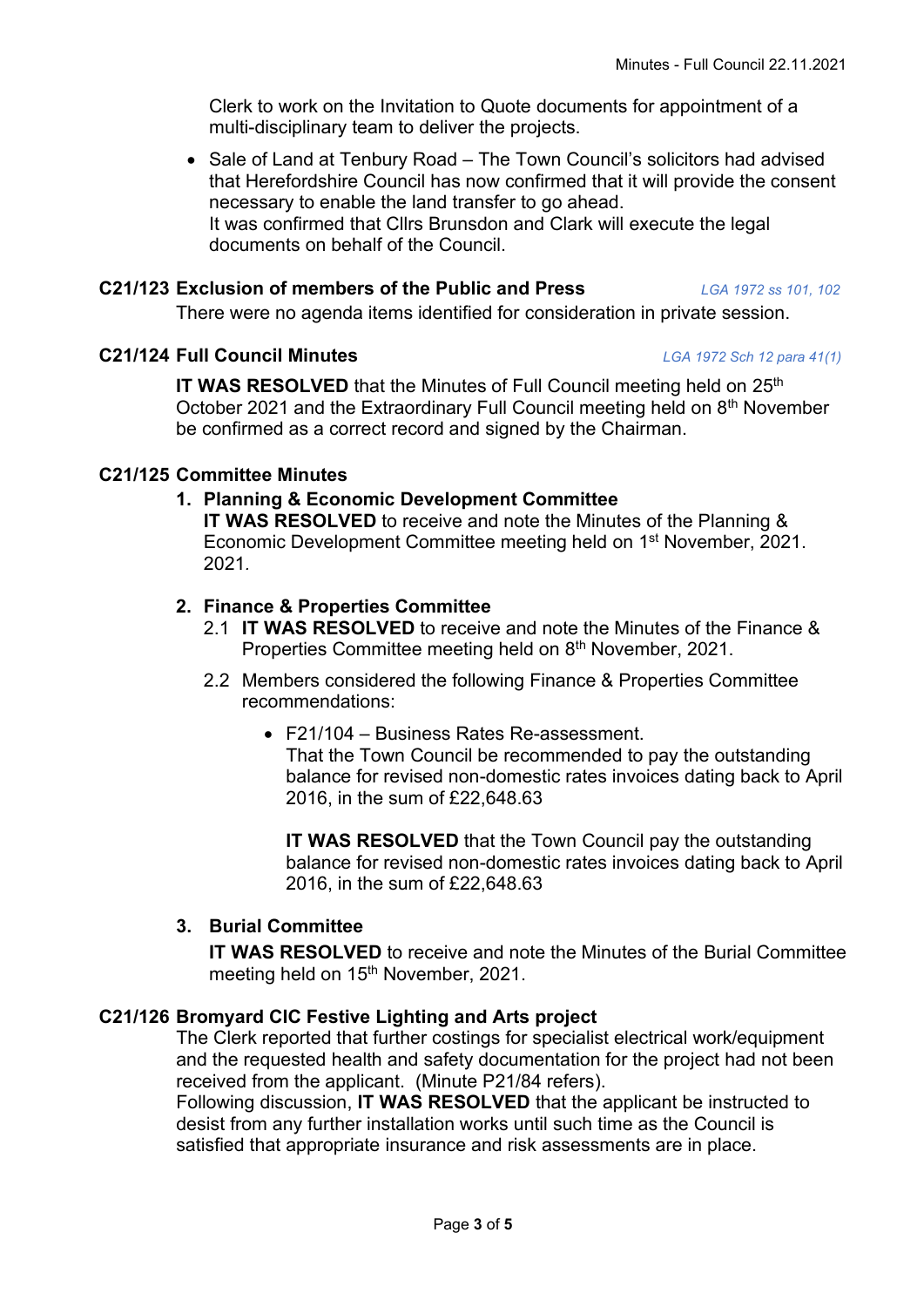Clerk to work on the Invitation to Quote documents for appointment of a multi-disciplinary team to deliver the projects.

• Sale of Land at Tenbury Road – The Town Council's solicitors had advised that Herefordshire Council has now confirmed that it will provide the consent necessary to enable the land transfer to go ahead. It was confirmed that Cllrs Brunsdon and Clark will execute the legal documents on behalf of the Council.

## **C21/123 Exclusion of members of the Public and Press** *LGA 1972 ss 101, 102*

There were no agenda items identified for consideration in private session.

# **C21/124 Full Council Minutes** *LGA 1972 Sch 12 para 41(1)*

**IT WAS RESOLVED** that the Minutes of Full Council meeting held on 25<sup>th</sup> October 2021 and the Extraordinary Full Council meeting held on 8<sup>th</sup> November be confirmed as a correct record and signed by the Chairman.

# **C21/125 Committee Minutes**

# **1. Planning & Economic Development Committee**

**IT WAS RESOLVED** to receive and note the Minutes of the Planning & Economic Development Committee meeting held on 1<sup>st</sup> November, 2021. 2021*.*

# **2. Finance & Properties Committee**

- 2.1 **IT WAS RESOLVED** to receive and note the Minutes of the Finance & Properties Committee meeting held on 8<sup>th</sup> November, 2021.
- 2.2 Members considered the following Finance & Properties Committee recommendations:
	- F21/104 Business Rates Re-assessment. That the Town Council be recommended to pay the outstanding balance for revised non-domestic rates invoices dating back to April 2016, in the sum of £22,648.63

**IT WAS RESOLVED** that the Town Council pay the outstanding balance for revised non-domestic rates invoices dating back to April 2016, in the sum of £22,648.63

# **3. Burial Committee**

**IT WAS RESOLVED** to receive and note the Minutes of the Burial Committee meeting held on 15<sup>th</sup> November, 2021.

# **C21/126 Bromyard CIC Festive Lighting and Arts project**

The Clerk reported that further costings for specialist electrical work/equipment and the requested health and safety documentation for the project had not been received from the applicant. (Minute P21/84 refers).

Following discussion, **IT WAS RESOLVED** that the applicant be instructed to desist from any further installation works until such time as the Council is satisfied that appropriate insurance and risk assessments are in place.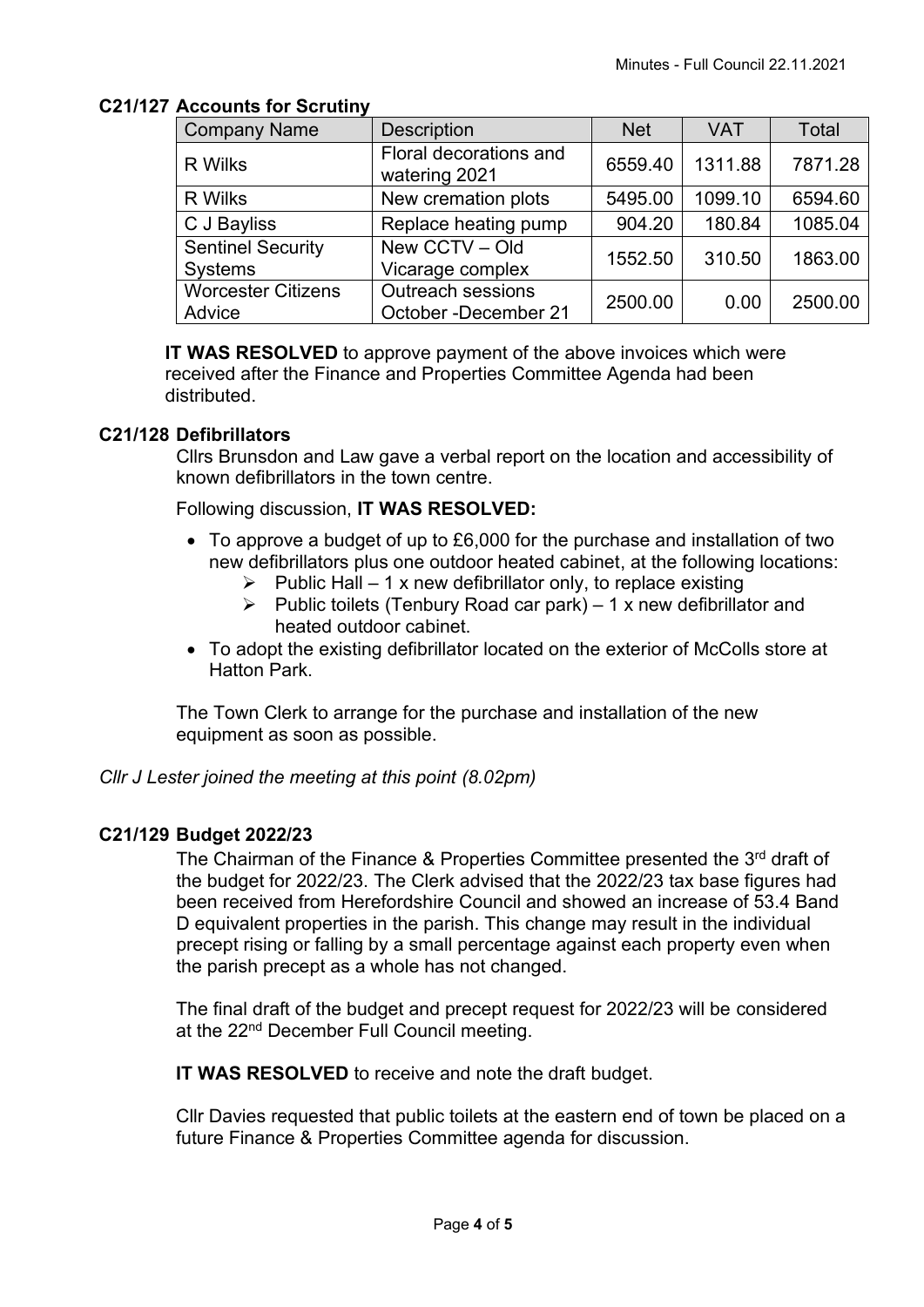## **C21/127 Accounts for Scrutiny**

| <b>Company Name</b>                 | <b>Description</b>                               | <b>Net</b> | <b>VAT</b> | Total   |
|-------------------------------------|--------------------------------------------------|------------|------------|---------|
| <b>R</b> Wilks                      | Floral decorations and<br>watering 2021          | 6559.40    | 1311.88    | 7871.28 |
| <b>R</b> Wilks                      | New cremation plots                              | 5495.00    | 1099.10    | 6594.60 |
| C J Bayliss                         | Replace heating pump                             | 904.20     | 180.84     | 1085.04 |
| <b>Sentinel Security</b><br>Systems | New CCTV - Old<br>Vicarage complex               | 1552.50    | 310.50     | 1863.00 |
| <b>Worcester Citizens</b><br>Advice | <b>Outreach sessions</b><br>October -December 21 | 2500.00    | 0.00       | 2500.00 |

**IT WAS RESOLVED** to approve payment of the above invoices which were received after the Finance and Properties Committee Agenda had been distributed.

## **C21/128 Defibrillators**

Cllrs Brunsdon and Law gave a verbal report on the location and accessibility of known defibrillators in the town centre.

Following discussion, **IT WAS RESOLVED:**

- To approve a budget of up to £6,000 for the purchase and installation of two new defibrillators plus one outdoor heated cabinet, at the following locations:
	- $\triangleright$  Public Hall 1 x new defibrillator only, to replace existing
	- $\triangleright$  Public toilets (Tenbury Road car park) 1 x new defibrillator and heated outdoor cabinet.
- To adopt the existing defibrillator located on the exterior of McColls store at Hatton Park.

The Town Clerk to arrange for the purchase and installation of the new equipment as soon as possible.

## *Cllr J Lester joined the meeting at this point (8.02pm)*

## **C21/129 Budget 2022/23**

The Chairman of the Finance & Properties Committee presented the 3<sup>rd</sup> draft of the budget for 2022/23. The Clerk advised that the 2022/23 tax base figures had been received from Herefordshire Council and showed an increase of 53.4 Band D equivalent properties in the parish. This change may result in the individual precept rising or falling by a small percentage against each property even when the parish precept as a whole has not changed.

The final draft of the budget and precept request for 2022/23 will be considered at the 22<sup>nd</sup> December Full Council meeting.

**IT WAS RESOLVED** to receive and note the draft budget.

Cllr Davies requested that public toilets at the eastern end of town be placed on a future Finance & Properties Committee agenda for discussion.